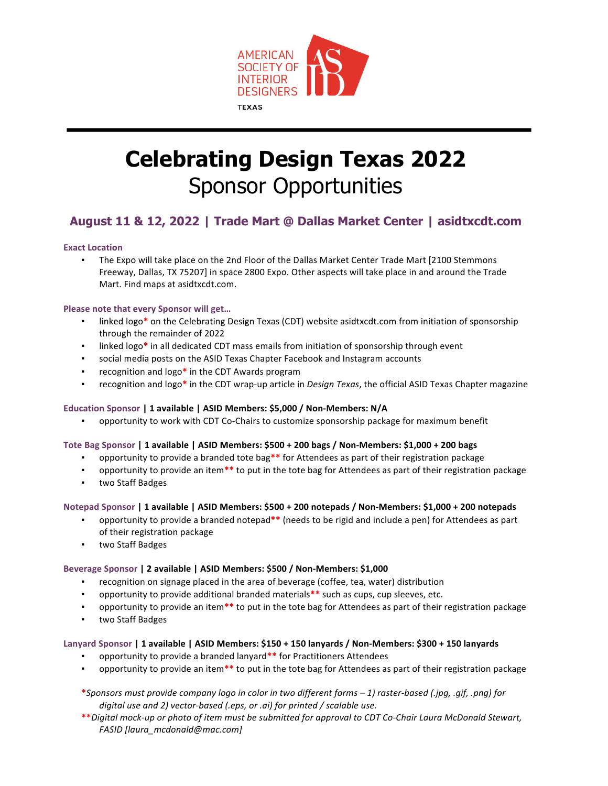

# **Celebrating Design Texas 2022** Sponsor Opportunities

### **August 11 & 12, 2022 | Trade Mart @ Dallas Market Center | asidtxcdt.com**

#### **Exact Location**

. The Expo will take place on the 2nd Floor of the Dallas Market Center Trade Mart [2100 Stemmons Freeway, Dallas, TX 75207] in space 2800 Expo. Other aspects will take place in and around the Trade Mart. Find maps at asidtxcdt.com.

#### **Please note that every Sponsor will get...**

- linked logo\* on the Celebrating Design Texas (CDT) website asidtxcdt.com from initiation of sponsorship through the remainder of 2022
- linked logo<sup>\*</sup> in all dedicated CDT mass emails from initiation of sponsorship through event
- **•** social media posts on the ASID Texas Chapter Facebook and Instagram accounts
- recognition and logo\* in the CDT Awards program
- **•** recognition and logo\* in the CDT wrap-up article in *Design Texas*, the official ASID Texas Chapter magazine

#### **Education Sponsor | 1 available | ASID Members: \$5,000 / Non-Members: N/A**

opportunity to work with CDT Co-Chairs to customize sponsorship package for maximum benefit

#### Tote Bag Sponsor | 1 available | ASID Members: \$500 + 200 bags / Non-Members: \$1,000 + 200 bags

- **•** opportunity to provide a branded tote bag<sup>\*\*</sup> for Attendees as part of their registration package
- **•** opportunity to provide an item\*\* to put in the tote bag for Attendees as part of their registration package
- two Staff Badges

#### **Notepad Sponsor | 1 available | ASID Members: \$500 + 200 notepads / Non-Members: \$1,000 + 200 notepads**

- opportunity to provide a branded notepad<sup>\*\*</sup> (needs to be rigid and include a pen) for Attendees as part of their registration package
- two Staff Badges

#### Beverage Sponsor | 2 available | ASID Members: \$500 / Non-Members: \$1,000

- recognition on signage placed in the area of beverage (coffee, tea, water) distribution
- **•** opportunity to provide additional branded materials<sup>\*\*</sup> such as cups, cup sleeves, etc.
- **•** opportunity to provide an item\*\* to put in the tote bag for Attendees as part of their registration package
- two Staff Badges

#### **Lanyard Sponsor | 1 available | ASID Members: \$150 + 150 lanyards / Non-Members: \$300 + 150 lanyards**

- opportunity to provide a branded lanyard\*\* for Practitioners Attendees
- opportunity to provide an item<sup>\*\*</sup> to put in the tote bag for Attendees as part of their registration package
- **\****Sponsors must provide company logo in color in two different forms – 1) raster-based (.jpg, .gif, .png) for*  digital use and 2) vector-based (.eps, or .ai) for printed / scalable use.
- **\*\****Digital mock-up or photo of item must be submitted for approval to CDT Co-Chair Laura McDonald Stewart, FASID [laura\_mcdonald@mac.com]*